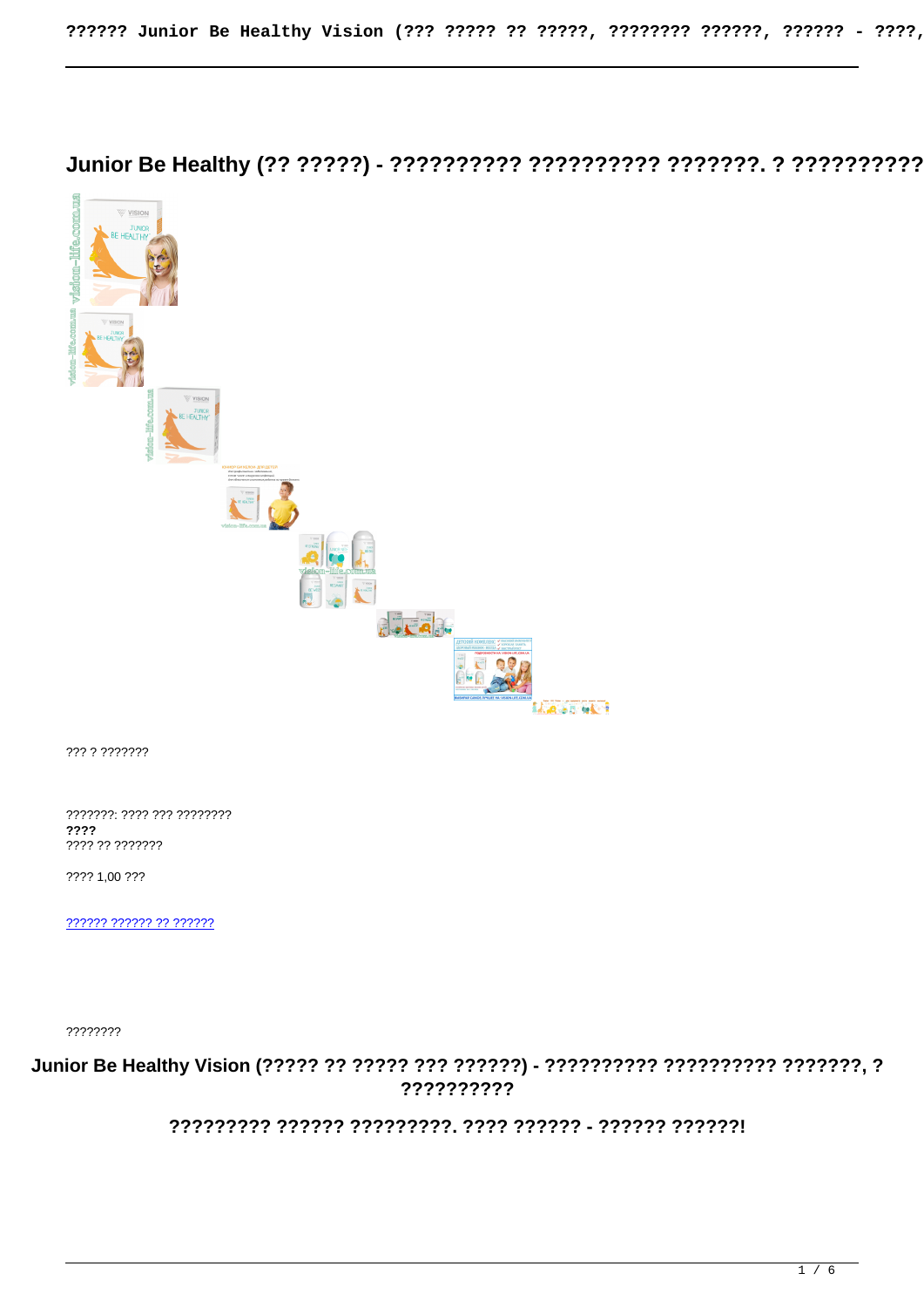

??? ? ???????

???????: ???? ??? ????????? ???? ???? ?? ???????

???? 1.00 ???

222222 222222 22 222222

????????

??????????

???????? ?????? ?????????. ???? ?????? - ?????? ??????!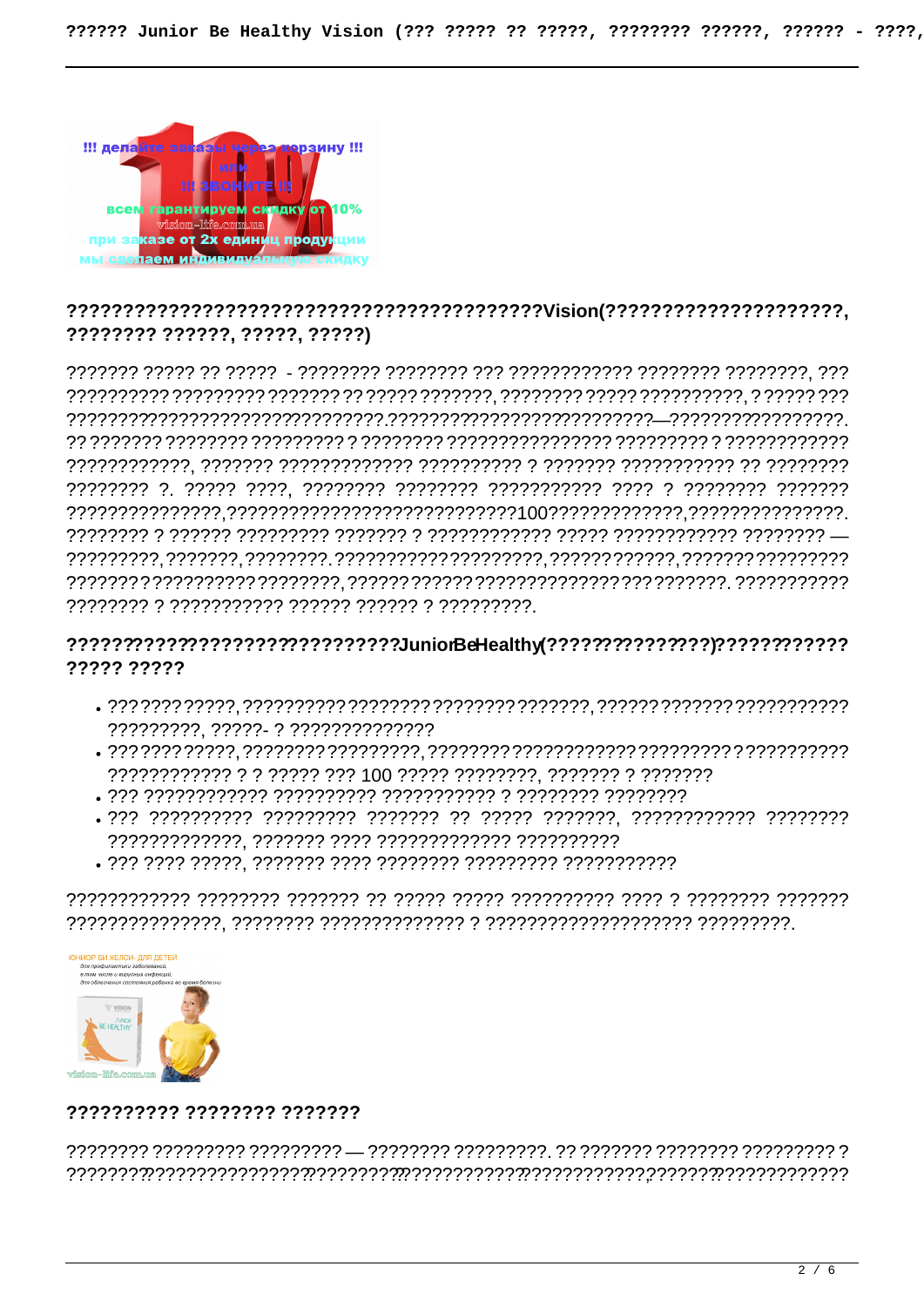

# ???????? ??????. ?????. ?????)

## ??????????????????????????????JuniorBeHealthy??????????????????????????????????? ????? ?????

- ?????????. ?????- ? ??????????????
- 
- 
- 
- 



## ?????????? ???????? ???????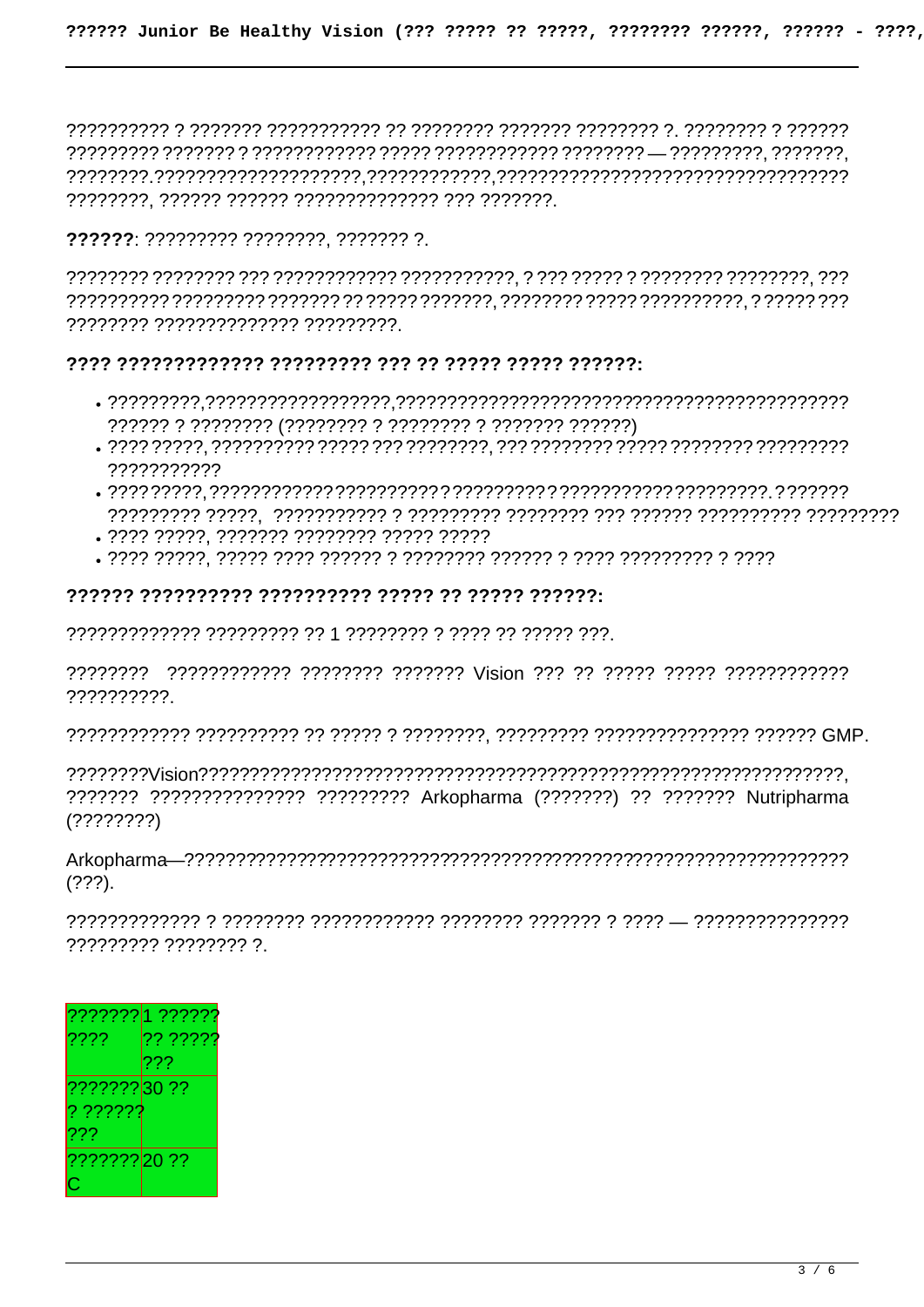222222: ????????? ????????. ??????? ?.

???????? ?????????????? ?????????.

#### 

- 
- 77777777777
- 
- . ???? ?????. ??????? ???????? ????? ?????
- 

#### 

??????????

??????? ??????????????? ????????? Arkopharma (???????) ?? ??????? Nutripharma  $(?????????)$ 

 $(222)$ .

????????? ???????? ?

| ??????? 1 ??????           |                 |
|----------------------------|-----------------|
| $ ??\overline{??}$         | ?? ?????        |
|                            | $??\mathrel{?}$ |
| ??????? <mark>30 ??</mark> |                 |
| $ $ ? ?????????            |                 |
| 222                        |                 |
| ??????? 20 ??              |                 |
|                            |                 |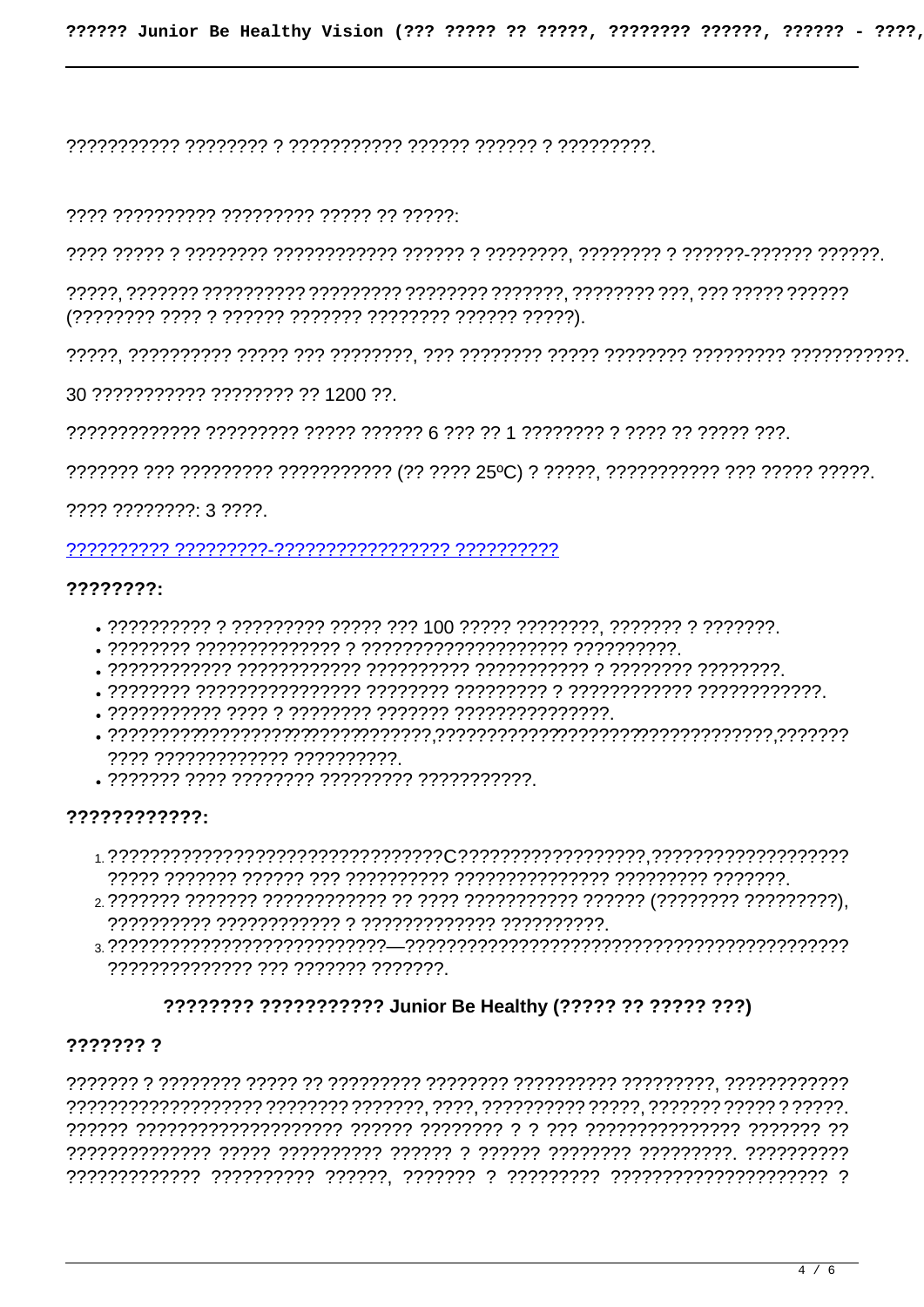#### 

30 ??????????? ???????? ?? 1200 ??.

, יוד ודודר דר דרדר ד דרדרדרך 1 דר דרך דר באמר דרדרך דרדרך דרדרדרך דרדרדרדרדרך

 $???? ???????? : 3 ????$ 

#### $2222222:$

- . ?????????? ? ????????? ????? ??? 100 ????? ???????. ??????? ? ???????.
- 
- 
- 
- 
- 7777 7777777777777 7777777777
- 

#### 

- , נדרדרדר דרדרדרדר דרדרדרדרדרדרדרדרדר דרדרדרדרדר דרך דרדרדר דרדרדר דרדרך
- 
- 77777777777777 777 7777777 7777777

#### ???????? ??????????? Junior Be Healthy (????? ?? ????? ???)

#### ??????? ?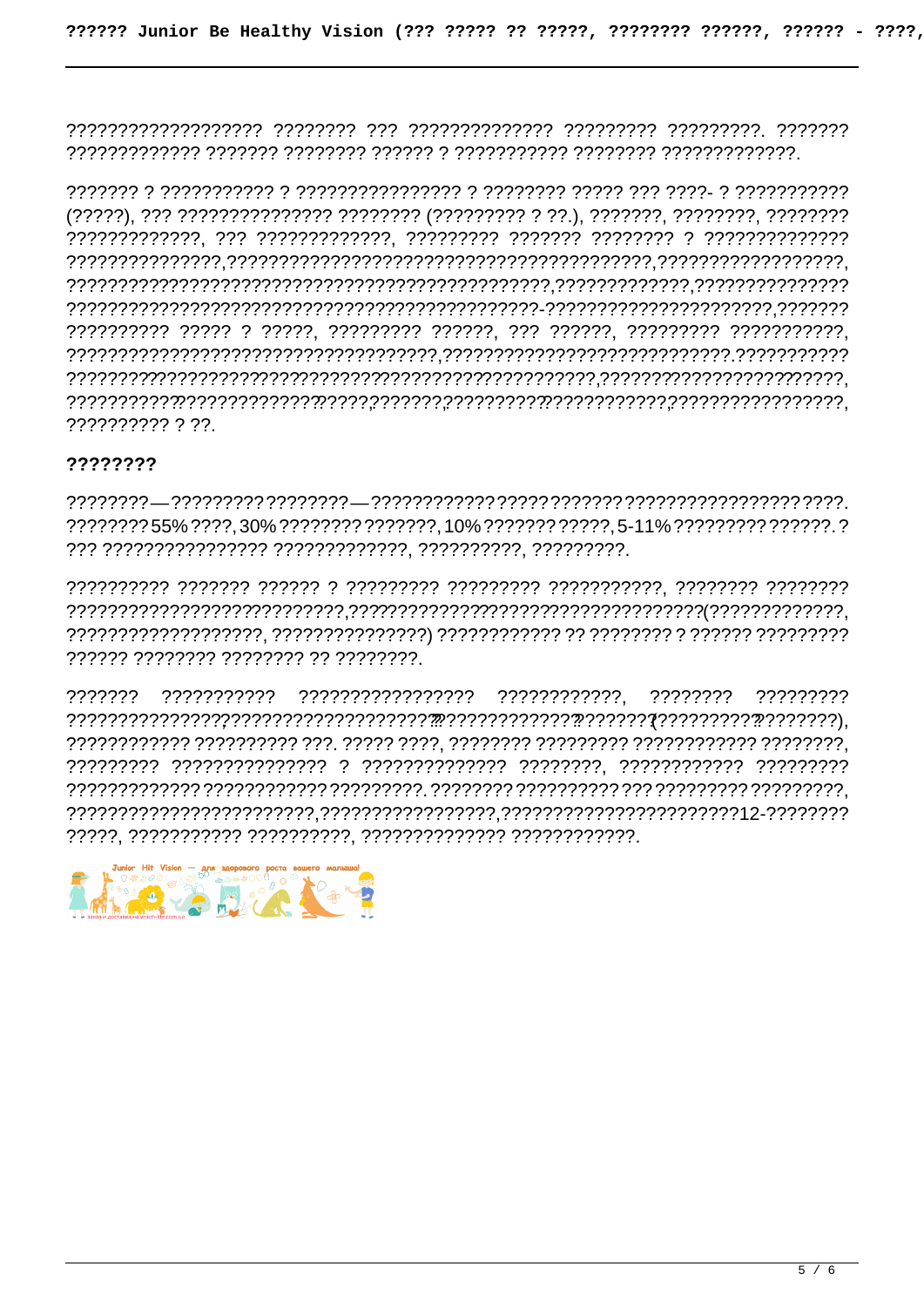### ????????

, ?????? ???????? ??????? ?? ????????

???????? ?????????